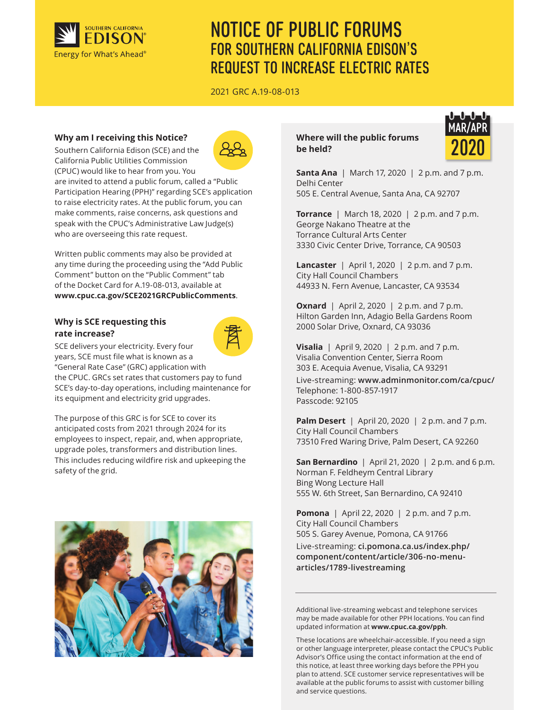

# NOTICE OF PUBLIC FORUMS FOR SOUTHERN CALIFORNIA EDISON'S REQUEST TO INCREASE ELECTRIC RATES

2021 GRC A.19-08-013

## **Why am I receiving this Notice?**

Southern California Edison (SCE) and the California Public Utilities Commission



(CPUC) would like to hear from you. You are invited to attend a public forum, called a "Public Participation Hearing (PPH)" regarding SCE's application to raise electricity rates. At the public forum, you can make comments, raise concerns, ask questions and speak with the CPUC's Administrative Law Judge(s) who are overseeing this rate request.

Written public comments may also be provided at any time during the proceeding using the "Add Public Comment" button on the "Public Comment" tab of the Docket Card for A.19-08-013, available at **www.cpuc.ca.gov/SCE2021GRCPublicComments**.

## **Why is SCE requesting this rate increase?**



SCE delivers your electricity. Every four years, SCE must file what is known as a "General Rate Case" (GRC) application with the CPUC. GRCs set rates that customers pay to fund SCE's day-to-day operations, including maintenance for its equipment and electricity grid upgrades.

The purpose of this GRC is for SCE to cover its anticipated costs from 2021 through 2024 for its employees to inspect, repair, and, when appropriate, upgrade poles, transformers and distribution lines. This includes reducing wildfire risk and upkeeping the safety of the grid.



## **Where will the public forums be held?**



**Santa Ana** | March 17, 2020 | 2 p.m. and 7 p.m. Delhi Center 505 E. Central Avenue, Santa Ana, CA 92707

**Torrance** | March 18, 2020 | 2 p.m. and 7 p.m. George Nakano Theatre at the Torrance Cultural Arts Center 3330 Civic Center Drive, Torrance, CA 90503

**Lancaster** | April 1, 2020 | 2 p.m. and 7 p.m. City Hall Council Chambers 44933 N. Fern Avenue, Lancaster, CA 93534

**Oxnard** | April 2, 2020 | 2 p.m. and 7 p.m. Hilton Garden Inn, Adagio Bella Gardens Room 2000 Solar Drive, Oxnard, CA 93036

**Visalia** | April 9, 2020 | 2 p.m. and 7 p.m. Visalia Convention Center, Sierra Room 303 E. Acequia Avenue, Visalia, CA 93291

Live-streaming: **www.adminmonitor.com/ca/cpuc/** Telephone: 1-800-857-1917 Passcode: 92105

**Palm Desert** | April 20, 2020 | 2 p.m. and 7 p.m. City Hall Council Chambers 73510 Fred Waring Drive, Palm Desert, CA 92260

**San Bernardino** | April 21, 2020 | 2 p.m. and 6 p.m. Norman F. Feldheym Central Library Bing Wong Lecture Hall 555 W. 6th Street, San Bernardino, CA 92410

**Pomona** | April 22, 2020 | 2 p.m. and 7 p.m. City Hall Council Chambers 505 S. Garey Avenue, Pomona, CA 91766

Live-streaming: **ci.pomona.ca.us/index.php/ component/content/article/306-no-menuarticles/1789-livestreaming**

Additional live-streaming webcast and telephone services may be made available for other PPH locations. You can find updated information at **www.cpuc.ca.gov/pph**.

These locations are wheelchair-accessible. If you need a sign or other language interpreter, please contact the CPUC's Public Advisor's Office using the contact information at the end of this notice, at least three working days before the PPH you plan to attend. SCE customer service representatives will be available at the public forums to assist with customer billing and service questions.